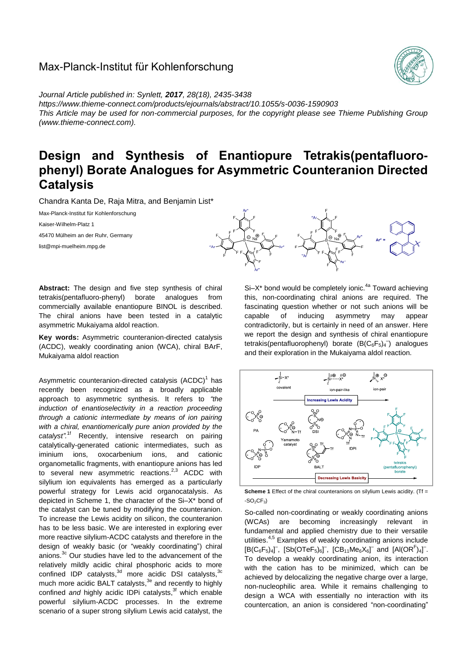# Max-Planck-Institut für Kohlenforschung



*Journal Article published in: Synlett, 2017, 28(18), 2435-3438 <https://www.thieme-connect.com/products/ejournals/abstract/10.1055/s-0036-1590903> This Article may be used for non-commercial purposes, for the copyright please see Thieme Publishing Group (www.thieme-connect.com).*

# **Design and Synthesis of Enantiopure Tetrakis(pentafluorophenyl) Borate Analogues for Asymmetric Counteranion Directed Catalysis**

Chandra Kanta De, Raja Mitra, and Benjamin List\*

Max-Planck-Institut für Kohlenforschung

Kaiser-Wilhelm-Platz 1

45470 Mülheim an der Ruhr, Germany

list@mpi-muelheim.mpg.de



**Key words:** Asymmetric counteranion-directed catalysis (ACDC), weakly coordinating anion (WCA), chiral BArF, Mukaiyama aldol reaction

Asymmetric counteranion-directed catalysis (ACDC)<sup>1</sup> has recently been recognized as a broadly applicable approach to asymmetric synthesis. It refers to *"the induction of enantioselectivity in a reaction proceeding through a cationic intermediate by means of ion pairing with a chiral, enantiomerically pure anion provided by the catalyst".* 1f Recently, intensive research on pairing catalytically-generated cationic intermediates, such as iminium ions, oxocarbenium ions, and cationic organometallic fragments, with enantiopure anions has led to several new asymmetric reactions.<sup>2,3</sup> ACDC with silvlium ion equivalents has emerged as a particularly powerful strategy for Lewis acid organocatalysis. As depicted in Scheme 1, the character of the Si–X\* bond of the catalyst can be tuned by modifying the counteranion. To increase the Lewis acidity on silicon, the counteranion has to be less basic. We are interested in exploring ever more reactive silylium-ACDC catalysts and therefore in the design of weakly basic (or "weakly coordinating") chiral anions.<sup>3c</sup> Our studies have led to the advancement of the relatively mildly acidic chiral phosphoric acids to more confined IDP catalysts, $3d$  more acidic DSI catalysts,  $3d$ much more acidic BALT catalysts,<sup>3e</sup> and recently to highly confined *and* highly acidic IDPi catalysts, 3f which enable powerful silylium-ACDC processes. In the extreme scenario of a super strong silylium Lewis acid catalyst, the



 $Si-X^*$  bond would be completely ionic.<sup>4a</sup> Toward achieving this, non-coordinating chiral anions are required. The fascinating question whether or not such anions will be capable of inducing asymmetry may appear contradictorily, but is certainly in need of an answer. Here we report the design and synthesis of chiral enantiopure tetrakis(pentafluorophenyl) borate  $(B(C_6F_5)_4^-)$  analogues and their exploration in the Mukaiyama aldol reaction.



**Scheme 1** Effect of the chiral counteranions on silylium Lewis acidity. (Tf =  $-SO<sub>2</sub>CF<sub>3</sub>$ )

So-called non-coordinating or weakly coordinating anions (WCAs) are becoming increasingly relevant in fundamental and applied chemistry due to their versatile utilities.4,5 Examples of weakly coordinating anions include  $[ B(C_6F_5)_4]^T$ ,  $[Sb(OTeF_5)_6]^T$ ,  $[CB_{11}Me_6X_6]^T$  and  $[Al(OR^F)_4]^T$ . To develop a weakly coordinating anion, its interaction with the cation has to be minimized, which can be achieved by delocalizing the negative charge over a large, non-nucleophilic area. While it remains challenging to design a WCA with essentially no interaction with its countercation, an anion is considered "non-coordinating"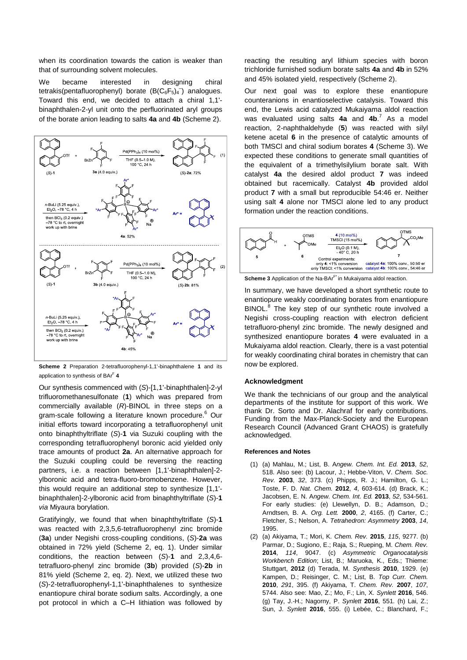when its coordination towards the cation is weaker than that of surrounding solvent molecules.

We became interested in designing chiral tetrakis(pentafluorophenyl) borate  $(B(C_6F_5)_4^-)$  analogues. Toward this end, we decided to attach a chiral 1,1' binaphthalen-2-yl unit onto the perfluorinated aryl groups of the borate anion leading to salts **4a** and **4b** (Scheme 2).



**Scheme 2** Preparation 2-tetrafluorophenyl-1,1'-binaphthalene **1** and its application to synthesis of BAr<sup>F</sup> **4** 

Our synthesis commenced with (*S*)-[1,1'-binaphthalen]-2-yl trifluoromethanesulfonate (**1**) which was prepared from commercially available (*R*)-BINOL in three steps on a gram-scale following a literature known procedure.<sup>6</sup> Our initial efforts toward incorporating a tetrafluorophenyl unit onto binaphthyltriflate (*S*)-**1** via Suzuki coupling with the corresponding tetrafluorophenyl boronic acid yielded only trace amounts of product **2a**. An alternative approach for the Suzuki coupling could be reversing the reacting partners, i.e. a reaction between [1,1'-binaphthalen]-2 ylboronic acid and tetra-fluoro-bromobenzene. However, this would require an additional step to synthesize [1,1' binaphthalen]-2-ylboronic acid from binaphthyltriflate (*S*)-**1** *via* Miyaura borylation.

Gratifyingly, we found that when binaphthyltriflate (*S*)-**1** was reacted with 2,3,5,6-tetrafluorophenyl zinc bromide (**3a**) under Negishi cross-coupling conditions, (*S*)-**2a** was obtained in 72% yield (Scheme 2, eq. 1). Under similar conditions, the reaction between (*S*)-**1** and 2,3,4,6 tetrafluoro-phenyl zinc bromide (**3b**) provided (*S*)-**2b** in 81% yield (Scheme 2, eq. 2). Next, we utilized these two (*S*)-2-tetrafluorophenyl-1,1'-binaphthalenes to synthesize enantiopure chiral borate sodium salts. Accordingly, a one pot protocol in which a C–H lithiation was followed by reacting the resulting aryl lithium species with boron trichloride furnished sodium borate salts **4a** and **4b** in 52% and 45% isolated yield, respectively (Scheme 2).

Our next goal was to explore these enantiopure counteranions in enantioselective catalysis. Toward this end, the Lewis acid catalyzed Mukaiyama aldol reaction was evaluated using salts **4a** and **4b**. 7 As a model reaction, 2-naphthaldehyde (**5**) was reacted with silyl ketene acetal **6** in the presence of catalytic amounts of both TMSCl and chiral sodium borates **4** (Scheme 3). We expected these conditions to generate small quantities of the equivalent of a trimethylsilylium borate salt. With catalyst **4a** the desired aldol product **7** was indeed obtained but racemically. Catalyst **4b** provided aldol product **7** with a small but reproducible 54:46 er. Neither using salt **4** alone nor TMSCl alone led to any product formation under the reaction conditions.



Scheme 3 Application of the Na-BAr<sup>F\*</sup> in Mukaiyama aldol reaction.

In summary, we have developed a short synthetic route to enantiopure weakly coordinating borates from enantiopure BINOL.<sup>8</sup> The key step of our synthetic route involved a Negishi cross-coupling reaction with electron deficient tetrafluoro-phenyl zinc bromide. The newly designed and synthesized enantiopure borates **4** were evaluated in a Mukaiyama aldol reaction. Clearly, there is a vast potential for weakly coordinating chiral borates in chemistry that can now be explored.

# **Acknowledgment**

We thank the technicians of our group and the analytical departments of the institute for support of this work. We thank Dr. Sorto and Dr. Alachraf for early contributions. Funding from the Max-Planck-Society and the European Research Council (Advanced Grant CHAOS) is gratefully acknowledged.

#### **References and Notes**

- (1) (a) Mahlau, M.; List, B. A*ngew. Chem. Int. Ed.* **2013**, *52*, 518. Also see: (b) Lacour, J.; Hebbe-Viton, V. *Chem. Soc. Rev.* **2003**, *32*, 373. (c) Phipps, R. J.; Hamilton, G. L.; Toste, F. D. *Nat. Chem.* **2012**, *4*, 603-614. (d) Brack, K.; Jacobsen, E. N. A*ngew. Chem. Int. Ed.* **2013**, *52*, 534-561. For early studies: (e) Llewellyn, D. B.; Adamson, D.; Arndtsen, B. A. *Org. Lett.* **2000**, *2*, 4165. (f) Carter, C.; Fletcher, S.; Nelson, A. *Tetrahedron: Asymmetry* **2003**, *14*, 1995.
- (2) (a) Akiyama, T.; Mori, K. *Chem. Rev.* **2015**, *115*, 9277. (b) Parmar, D.; Sugiono, E.; Raja, S.; Rueping, M. *Chem. Rev.*  **2014**, *114*, 9047. (c) *Asymmetric Organocatalysis Workbench Edition*; List, B.; Maruoka, K., Eds.; Thieme: Stuttgart, **2012** (d) Terada, M. *Synthesis* **2010**, 1929. (e) Kampen, D.; Reisinger, C. M.; List, B. *Top Curr. Chem.*  **2010**, *291*, 395. (f) Akiyama, T. *Chem. Rev.* **2007**, *107*, 5744. Also see: Mao, Z.; Mo, F.; Lin, X. *Synlett* **2016**, 546. (g) Tay, J.-H.; Nagorny, P. *Synlett* **2016**, 551. (h) Lai, Z.; Sun, J. *Synlett* **2016**, 555. (i) Lebée, C.; Blanchard, F.;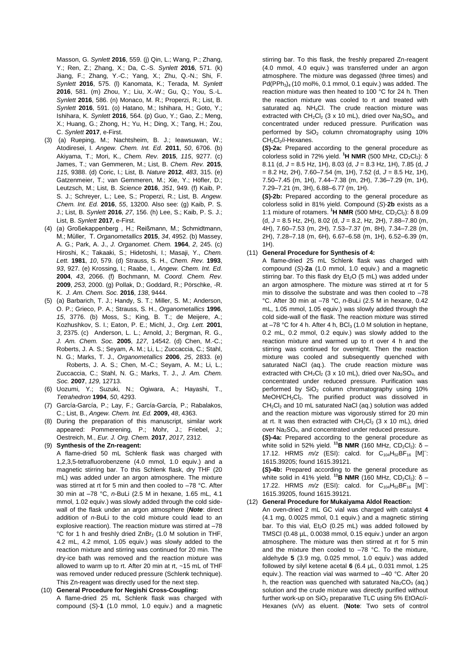Masson, G. *Synlett* **2016**, 559. (j) Qin, L.; Wang, P.; Zhang, Y.; Ren, Z.; Zhang, X.; Da, C.-S. *Synlett* **2016**, 571. (k) Jiang, F.; Zhang, Y.-C.; Yang, X.; Zhu, Q.-N.; Shi, F. *Synlett* **2016**, 575. (l) Kanomata, K.; Terada, M. *Synlett* **2016**, 581. (m) Zhou, Y.; Liu, X.-W.; Gu, Q.; You, S.-L. *Synlett* **2016**, 586. (n) Monaco, M. R.; Properzi, R.; List, B. *Synlett* **2016**, 591. (o) Hatano, M.; Ishihara, H.; Goto, Y.; Ishihara, K. *Synlett* **2016**, 564. (p) Guo, Y.; Gao, Z.; Meng, X.; Huang, G.; Zhong, H.; Yu, H.; Ding, X.; Tang, H.; Zou, C. *Synlett* **2017**, e-First.

- (3) (a) Rueping, M.; Nachtsheim, B. J.; Ieawsuwan, W.; Atodiresei, I. *Angew. Chem. Int. Ed.* **2011**, *50*, 6706. (b) Akiyama, T.; Mori, K., *Chem. Rev.* **2015**, *115*, 9277. (c) James, T.; van Gemmeren, M.; List, B. *Chem. Rev.* **2015**, *115*, 9388. (d) Coric, I.; List, B*. Nature* **2012**, *483*, 315. (e) Gatzenmeier, T.; van Gemmeren, M.; Xie, Y.; Höfler, D.; Leutzsch, M.; List, B. *Science* **2016**, *351*, 949. (f) Kaib, P. S. J.; Schreyer, L.; Lee, S.; Properzi, R.; List, B. *Angew. Chem. Int. Ed.* **2016**, *55*, 13200. Also see: (g) Kaib, P. S. J.; List, B. *Synlett* **2016**, *27*, 156. (h) Lee, S.; Kaib, P. S. J.; List, B. *Synlett* **2017**, e-First.
- (4) (a) Großekappenberg , H.; Reißmann, M.; Schmidtmann, M.; Müller, T. *Organometallics* **2015**, *34*, 4952. (b) Massey, A. G.; Park, A. J., *J. Organomet. Chem.* **1964**, *2*, 245. (c) Hiroshi, K.; Takaaki, S.; Hidetoshi, I.; Masaji, Y., *Chem. Lett.* **1981**, *10*, 579. (d) Strauss, S. H., *Chem. Rev.* **1993**, *93*, 927. (e) Krossing, I.; Raabe, I., *Angew. Chem. Int. Ed.*  **2004**, *43*, 2066. (f) Bochmann, M. *Coord. Chem. Rev.* **2009**, *253*, 2000. (g) Pollak, D.; Goddard, R.; Pörschke, -R. K. *J. Am. Chem. Soc.* **2016**, *138*, 9444.
- (5) (a) Barbarich, T. J.; Handy, S. T.; Miller, S. M.; Anderson, O. P.; Grieco, P. A.; Strauss, S. H., *Organometallics* **1996**, *15*, 3776. (b) Moss, S.; King, B. T.; de Meijere, A.; Kozhushkov, S. I.; Eaton, P. E.; Michl, J., *Org. Lett.* **2001**, *3*, 2375. (c) Anderson, L. L.; Arnold, J.; Bergman, R. G., *J. Am. Chem. Soc.* **2005**, *127*, 14542. (d) Chen, M.-C.; Roberts, J. A. S.; Seyam, A. M.; Li, L.; Zuccaccia, C.; Stahl, N. G.; Marks, T. J., *Organometallics* **2006**, *25*, 2833. (e) Roberts, J. A. S.; Chen, M.-C.; Seyam, A. M.; Li, L.; Zuccaccia, C.; Stahl, N. G.; Marks, T. J., *J. Am. Chem. Soc.* **2007**, *129*, 12713.
- (6) Uozumi, Y.; Suzuki, N.; Ogiwara, A.; Hayashi, T., *Tetrahedron* **1994**, *50*, 4293.
- (7) García-García, P.; Lay, F.; García-García, P.; Rabalakos, C.; List, B., *Angew. Chem. Int. Ed.* **2009,** *48*, 4363.
- (8) During the preparation of this manuscript, similar work appeared: Pommerening, P.; Mohr, J.; Friebel, J.; Oestreich, M., *Eur. J. Org. Chem.* **2017**, *2017*, 2312.
- (9) **Synthesis of the Zn-reagent:**

A flame-dried 50 mL Schlenk flask was charged with 1,2,3,5-tetrafluorobenzene (4.0 mmol, 1.0 equiv.) and a magnetic stirring bar. To this Schlenk flask, dry THF (20 mL) was added under an argon atmosphere. The mixture was stirred at rt for 5 min and then cooled to -78 °C. After 30 min at –78 °C, *n*-BuLi (2.5 M in hexane, 1.65 mL, 4.1 mmol, 1.02 equiv.) was slowly added through the cold sidewall of the flask under an argon atmosphere (*Note*: direct addition of *n*-BuLi to the cold mixture could lead to an explosive reaction). The reaction mixture was stirred at –78 °C for 1 h and freshly dried  $ZnBr_2$  (1.0 M solution in THF, 4.2 mL, 4.2 mmol, 1.05 equiv.) was slowly added to the reaction mixture and stirring was continued for 20 min. The dry-ice bath was removed and the reaction mixture was allowed to warm up to rt. After 20 min at rt, ~15 mL of THF was removed under reduced pressure (Schlenk technique). This Zn-reagent was directly used for the next step.

#### (10) **General Procedure for Negishi Cross-Coupling:** A flame-dried 25 mL Schlenk flask was charged with compound (*S*)-**1** (1.0 mmol, 1.0 equiv.) and a magnetic

stirring bar. To this flask, the freshly prepared Zn-reagent (4.0 mmol, 4.0 equiv.) was transferred under an argon atmosphere. The mixture was degassed (three times) and  $Pd(PPh<sub>3</sub>)<sub>4</sub>$  (10 mol%, 0.1 mmol, 0.1 equiv.) was added. The reaction mixture was then heated to 100 °C for 24 h. Then the reaction mixture was cooled to rt and treated with saturated aq. NH<sub>4</sub>Cl. The crude reaction mixture was extracted with  $CH_2Cl_2$  (3 x 10 mL), dried over  $Na_2SO_4$ , and concentrated under reduced pressure. Purification was performed by  $SiO<sub>2</sub>$  column chromatography using 10% CH<sub>2</sub>Cl<sub>2</sub>/i-Hexanes.

**(***S***)-2a:** Prepared according to the general procedure as colorless solid in 72% yield. <sup>1</sup>H NMR (500 MHz, CD<sub>2</sub>Cl<sub>2</sub>): δ 8.11 (d, *J* = 8.5 Hz, 1H), 8.03 (d, *J* = 8.3 Hz, 1H), 7.85 (d, *J* = 8.2 Hz, 2H), 7.60–7.54 (m, 1H), 7.52 (d, *J* = 8.5 Hz, 1H), 7.50–7.45 (m, 1H), 7.44–7.38 (m, 2H), 7.36–7.29 (m, 1H), 7.29–7.21 (m, 3H), 6.88–6.77 (m, 1H).

**(***S***)-2b:** Prepared according to the general procedure as colorless solid in 81% yield. Compound (*S*)-**2b** exists as a 1:1 mixture of rotamers. <sup>1</sup>**H NMR** (500 MHz, CD<sub>2</sub>Cl<sub>2</sub>): δ 8.09 (d, *J* = 8.5 Hz, 2H), 8.02 (d, *J* = 8.2, Hz, 2H), 7.88–7.80 (m, 4H), 7.60–7.53 (m, 2H), 7.53–7.37 (m, 8H), 7.34–7.28 (m, 2H), 7.28–7.18 (m, 6H), 6.67–6.58 (m, 1H), 6.52–6.39 (m, 1H).

# (11) **General Procedure for Synthesis of 4:**

A flame-dried 25 mL Schlenk flask was charged with compound (*S*)-**2a** (1.0 mmol, 1.0 equiv.) and a magnetic stirring bar. To this flask dry  $Et_2O$  (5 mL) was added under an argon atmosphere. The mixture was stirred at rt for 5 min to dissolve the substrate and was then cooled to –78 °C. After 30 min at –78 °C, *n*-BuLi (2.5 M in hexane, 0.42 mL, 1.05 mmol, 1.05 equiv.) was slowly added through the cold side-wall of the flask. The reaction mixture was stirred at  $-78$  °C for 4 h. After 4 h, BCI<sub>3</sub> (1.0 M solution in heptane, 0.2 mL, 0.2 mmol, 0.2 equiv.) was slowly added to the reaction mixture and warmed up to rt over 4 h and the stirring was continued for overnight. Then the reaction mixture was cooled and subsequently quenched with saturated NaCl (aq.). The crude reaction mixture was extracted with  $CH_2Cl_2$  (3 x 10 mL), dried over  $Na_2SO_4$ , and concentrated under reduced pressure. Purification was performed by  $SiO<sub>2</sub>$  column chromatography using 10% MeOH/CH<sub>2</sub>Cl<sub>2</sub>. The purified product was dissolved in CH<sub>2</sub>Cl<sub>2</sub> and 10 mL saturated NaCl (aq.) solution was added and the reaction mixture was vigorously stirred for 20 min at rt. It was then extracted with  $CH_2Cl_2$  (3 x 10 mL), dried over Na<sub>2</sub>SO<sub>4</sub>, and concentrated under reduced pressure.

**(***S***)-4a:** Prepared according to the general procedure as white solid in 52% yield. <sup>11</sup>**B NMR** (160 MHz, CD<sub>2</sub>Cl<sub>2</sub>): δ – 17.12. HRMS  $m/z$  (ESI): calcd. for C<sub>104</sub>H<sub>52</sub>BF<sub>16</sub> [M]<sup>-</sup>: 1615.39205; found 1615.39121.

**(***S***)-4b:** Prepared according to the general procedure as white solid in 41% vield. <sup>11</sup>**B NMR** (160 MHz, CD<sub>2</sub>Cl<sub>2</sub>): δ – 17.22. HRMS  $m/z$  (ESI): calcd. for C<sub>104</sub>H<sub>52</sub>BF<sub>16</sub> [M]<sup>-</sup>: 1615.39205, found 1615.39121.

### (12) **General Procedure for Mukaiyama Aldol Reaction:**

An oven-dried 2 mL GC vial was charged with catalyst **4** (4.1 mg, 0.0025 mmol, 0.1 equiv.) and a magnetic stirring bar. To this vial,  $Et<sub>2</sub>O$  (0.25 mL) was added followed by TMSCl (0.48 µL, 0.0038 mmol, 0.15 equiv.) under an argon atmosphere. The mixture was then stirred at rt for 5 min and the mixture then cooled to –78 °C. To the mixture, aldehyde **5** (3.9 mg, 0.025 mmol, 1.0 equiv.) was added followed by silyl ketene acetal **6** (6.4 µL, 0.031 mmol, 1.25 equiv.). The reaction vial was warmed to –40 °C. After 20 h, the reaction was quenched with saturated  $Na<sub>2</sub>CO<sub>3</sub>$  (aq.) solution and the crude mixture was directly purified without further work-up on SiO<sub>2</sub> preparative TLC using 5% EtOAc/*i*-Hexanes (v/v) as eluent. (**Note**: Two sets of control